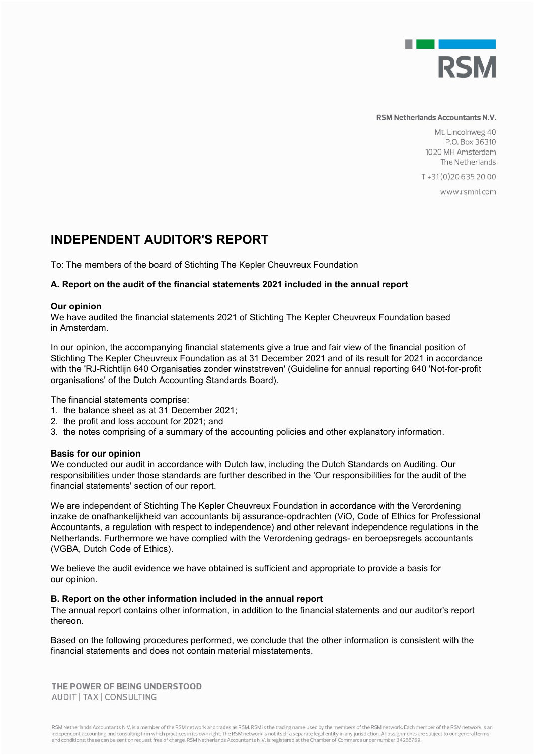

#### RSM Netherlands Accountants N.V.

Mt. Lincolnweg 40 P.O. Box 36310 1020 MH Amsterdam The Netherlands

T+31(0)206352000

www.rsmnl.com

# **INDEPENDENT AUDITOR'S REPORT**

To: The members of the board of Stichting The Kepler Cheuvreux Foundation

## **A. Report on the audit of the financial statements 2021 included in the annual report**

### **Our opinion**

We have audited the financial statements 2021 of Stichting The Kepler Cheuvreux Foundation based in Amsterdam.

In our opinion, the accompanying financial statements give a true and fair view of the financial position of Stichting The Kepler Cheuvreux Foundation as at 31 December 2021 and of its result for 2021 in accordance with the 'RJ-Richtlijn 640 Organisaties zonder winststreven' (Guideline for annual reporting 640 'Not-for-profit organisations' of the Dutch Accounting Standards Board).

The financial statements comprise:

- 1. the balance sheet as at 31 December 2021;
- 2. the profit and loss account for 2021; and
- 3. the notes comprising of a summary of the accounting policies and other explanatory information.

### **Basis for our opinion**

We conducted our audit in accordance with Dutch law, including the Dutch Standards on Auditing. Our responsibilities under those standards are further described in the 'Our responsibilities for the audit of the financial statements' section of our report.

We are independent of Stichting The Kepler Cheuvreux Foundation in accordance with the Verordening inzake de onafhankelijkheid van accountants bij assurance-opdrachten (ViO, Code of Ethics for Professional Accountants, a regulation with respect to independence) and other relevant independence regulations in the Netherlands. Furthermore we have complied with the Verordening gedrags- en beroepsregels accountants (VGBA, Dutch Code of Ethics).

We believe the audit evidence we have obtained is sufficient and appropriate to provide a basis for our opinion.

### **B. Report on the other information included in the annual report**

The annual report contains other information, in addition to the financial statements and our auditor's report thereon.

Based on the following procedures performed, we conclude that the other information is consistent with the financial statements and does not contain material misstatements.

THE POWER OF BEING UNDERSTOOD AUDIT | TAX | CONSULTING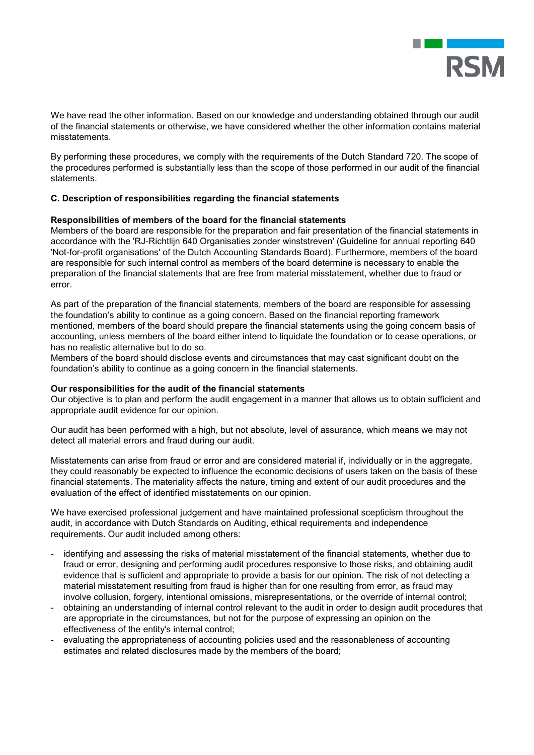

We have read the other information. Based on our knowledge and understanding obtained through our audit of the financial statements or otherwise, we have considered whether the other information contains material misstatements.

By performing these procedures, we comply with the requirements of the Dutch Standard 720. The scope of the procedures performed is substantially less than the scope of those performed in our audit of the financial statements.

## **C. Description of responsibilities regarding the financial statements**

## **Responsibilities of members of the board for the financial statements**

Members of the board are responsible for the preparation and fair presentation of the financial statements in accordance with the 'RJ-Richtlijn 640 Organisaties zonder winststreven' (Guideline for annual reporting 640 'Not-for-profit organisations' of the Dutch Accounting Standards Board). Furthermore, members of the board are responsible for such internal control as members of the board determine is necessary to enable the preparation of the financial statements that are free from material misstatement, whether due to fraud or error.

As part of the preparation of the financial statements, members of the board are responsible for assessing the foundation's ability to continue as a going concern. Based on the financial reporting framework mentioned, members of the board should prepare the financial statements using the going concern basis of accounting, unless members of the board either intend to liquidate the foundation or to cease operations, or has no realistic alternative but to do so.

Members of the board should disclose events and circumstances that may cast significant doubt on the foundation's ability to continue as a going concern in the financial statements.

## **Our responsibilities for the audit of the financial statements**

Our objective is to plan and perform the audit engagement in a manner that allows us to obtain sufficient and appropriate audit evidence for our opinion.

Our audit has been performed with a high, but not absolute, level of assurance, which means we may not detect all material errors and fraud during our audit.

Misstatements can arise from fraud or error and are considered material if, individually or in the aggregate, they could reasonably be expected to influence the economic decisions of users taken on the basis of these financial statements. The materiality affects the nature, timing and extent of our audit procedures and the evaluation of the effect of identified misstatements on our opinion.

We have exercised professional judgement and have maintained professional scepticism throughout the audit, in accordance with Dutch Standards on Auditing, ethical requirements and independence requirements. Our audit included among others:

- identifying and assessing the risks of material misstatement of the financial statements, whether due to fraud or error, designing and performing audit procedures responsive to those risks, and obtaining audit evidence that is sufficient and appropriate to provide a basis for our opinion. The risk of not detecting a material misstatement resulting from fraud is higher than for one resulting from error, as fraud may involve collusion, forgery, intentional omissions, misrepresentations, or the override of internal control;
- obtaining an understanding of internal control relevant to the audit in order to design audit procedures that are appropriate in the circumstances, but not for the purpose of expressing an opinion on the effectiveness of the entity's internal control;
- evaluating the appropriateness of accounting policies used and the reasonableness of accounting estimates and related disclosures made by the members of the board;